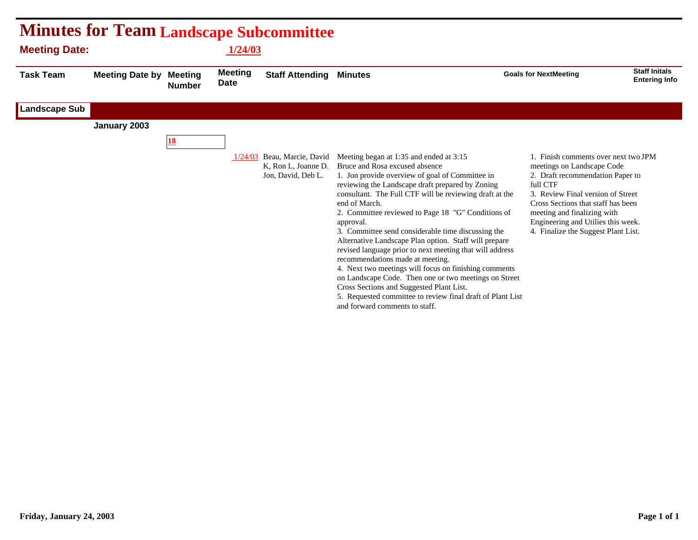| <b>Minutes for Team Landscape Subcommittee</b><br><b>Meeting Date:</b><br><b>1/24/03</b> |                        |                                 |                               |                                                                          |                                                                                                                                                                                                                                                                                                                                                                                                                                                                                                                                                                                                                                                                                                                                                                                                              |                                                                                                                                                                                                                                                                                                           |                                              |  |
|------------------------------------------------------------------------------------------|------------------------|---------------------------------|-------------------------------|--------------------------------------------------------------------------|--------------------------------------------------------------------------------------------------------------------------------------------------------------------------------------------------------------------------------------------------------------------------------------------------------------------------------------------------------------------------------------------------------------------------------------------------------------------------------------------------------------------------------------------------------------------------------------------------------------------------------------------------------------------------------------------------------------------------------------------------------------------------------------------------------------|-----------------------------------------------------------------------------------------------------------------------------------------------------------------------------------------------------------------------------------------------------------------------------------------------------------|----------------------------------------------|--|
| <b>Task Team</b>                                                                         | <b>Meeting Date by</b> | <b>Meeting</b><br><b>Number</b> | <b>Meeting</b><br><b>Date</b> | <b>Staff Attending</b>                                                   | <b>Minutes</b>                                                                                                                                                                                                                                                                                                                                                                                                                                                                                                                                                                                                                                                                                                                                                                                               | <b>Goals for NextMeeting</b>                                                                                                                                                                                                                                                                              | <b>Staff Initals</b><br><b>Entering Info</b> |  |
| <b>Landscape Sub</b>                                                                     |                        |                                 |                               |                                                                          |                                                                                                                                                                                                                                                                                                                                                                                                                                                                                                                                                                                                                                                                                                                                                                                                              |                                                                                                                                                                                                                                                                                                           |                                              |  |
|                                                                                          | January 2003           |                                 |                               |                                                                          |                                                                                                                                                                                                                                                                                                                                                                                                                                                                                                                                                                                                                                                                                                                                                                                                              |                                                                                                                                                                                                                                                                                                           |                                              |  |
|                                                                                          |                        | 18                              |                               |                                                                          |                                                                                                                                                                                                                                                                                                                                                                                                                                                                                                                                                                                                                                                                                                                                                                                                              |                                                                                                                                                                                                                                                                                                           |                                              |  |
|                                                                                          |                        |                                 |                               | 1/24/03 Beau, Marcie, David<br>K, Ron L, Joanne D.<br>Jon, David, Deb L. | Meeting began at 1:35 and ended at 3:15<br>Bruce and Rosa excused absence<br>1. Jon provide overview of goal of Committee in<br>reviewing the Landscape draft prepared by Zoning<br>consultant. The Full CTF will be reviewing draft at the<br>end of March.<br>2. Committee reviewed to Page 18 "G" Conditions of<br>approval.<br>3. Committee send considerable time discussing the<br>Alternative Landscape Plan option. Staff will prepare<br>revised language prior to next meeting that will address<br>recommendations made at meeting.<br>4. Next two meetings will focus on finishing comments<br>on Landscape Code. Then one or two meetings on Street<br>Cross Sections and Suggested Plant List.<br>5. Requested committee to review final draft of Plant List<br>and forward comments to staff. | 1. Finish comments over next two JPM<br>meetings on Landscape Code<br>2. Draft recommendation Paper to<br>full CTF<br>3. Review Final version of Street<br>Cross Sections that staff has been<br>meeting and finalizing with<br>Engineering and Utilies this week.<br>4. Finalize the Suggest Plant List. |                                              |  |